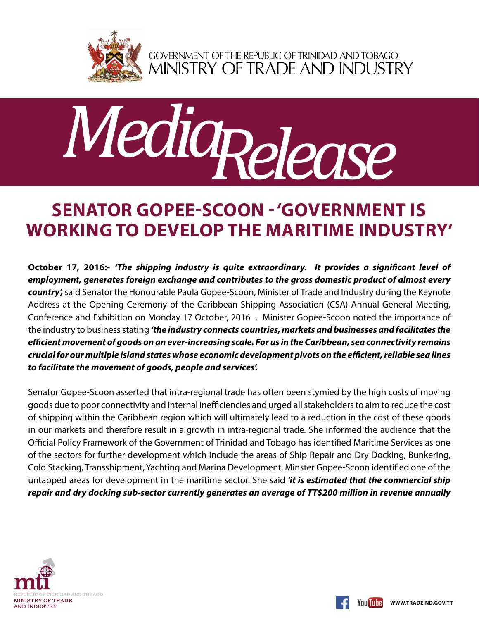

GOVERNMENT OF THE REPUBLIC OF TRINIDAD AND TOBAGO<br>MINISTRY OF TRADE AND INDUSTRY



## **Senator Gopee-Scoon - 'Government is working to develop the maritime industry'**

**October 17, 2016:-** *'The shipping industry is quite extraordinary. It provides a significant level of employment, generates foreign exchange and contributes to the gross domestic product of almost every country',* said Senator the Honourable Paula Gopee-Scoon, Minister of Trade and Industry during the Keynote Address at the Opening Ceremony of the Caribbean Shipping Association (CSA) Annual General Meeting, Conference and Exhibition on Monday 17 October, 2016 . Minister Gopee-Scoon noted the importance of the industry to business stating *'the industry connects countries, markets and businesses and facilitates the efficient movement of goods on an ever-increasing scale. For us in the Caribbean, sea connectivity remains crucial for our multiple island states whose economic development pivots on the efficient, reliable sea lines to facilitate the movement of goods, people and services'.* 

Senator Gopee-Scoon asserted that intra-regional trade has often been stymied by the high costs of moving goods due to poor connectivity and internal inefficiencies and urged all stakeholders to aim to reduce the cost of shipping within the Caribbean region which will ultimately lead to a reduction in the cost of these goods in our markets and therefore result in a growth in intra-regional trade. She informed the audience that the Official Policy Framework of the Government of Trinidad and Tobago has identified Maritime Services as one of the sectors for further development which include the areas of Ship Repair and Dry Docking, Bunkering, Cold Stacking, Transshipment, Yachting and Marina Development. Minster Gopee-Scoon identified one of the untapped areas for development in the maritime sector. She said *'it is estimated that the commercial ship repair and dry docking sub-sector currently generates an average of TT\$200 million in revenue annually*